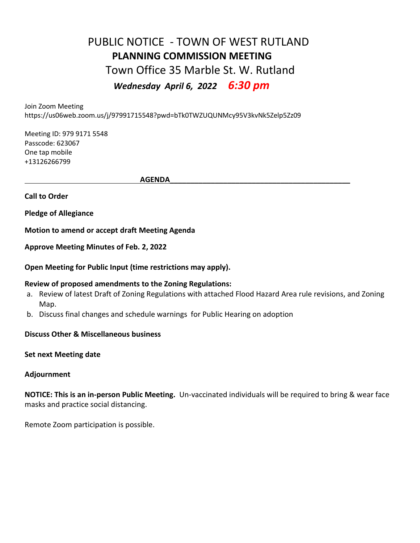## PUBLIC NOTICE - TOWN OF WEST RUTLAND **PLANNING COMMISSION MEETING**  Town Office 35 Marble St. W. Rutland  *Wednesday April 6, 2022 6:30 pm*

Join Zoom Meeting

https://us06web.zoom.us/j/97991715548?pwd=bTk0TWZUQUNMcy95V3kvNk5Zelp5Zz09

Meeting ID: 979 9171 5548 Passcode: 623067 One tap mobile +13126266799

 $\overline{\mathsf{AGENDA}}$ 

**Call to Order**

**Pledge of Allegiance**

**Motion to amend or accept draft Meeting Agenda**

**Approve Meeting Minutes of Feb. 2, 2022** 

**Open Meeting for Public Input (time restrictions may apply).**

## **Review of proposed amendments to the Zoning Regulations:**

- a. Review of latest Draft of Zoning Regulations with attached Flood Hazard Area rule revisions, and Zoning Map.
- b. Discuss final changes and schedule warnings for Public Hearing on adoption

**Discuss Other & Miscellaneous business**

**Set next Meeting date**

## **Adjournment**

**NOTICE: This is an in-person Public Meeting.** Un-vaccinated individuals will be required to bring & wear face masks and practice social distancing.

Remote Zoom participation is possible.